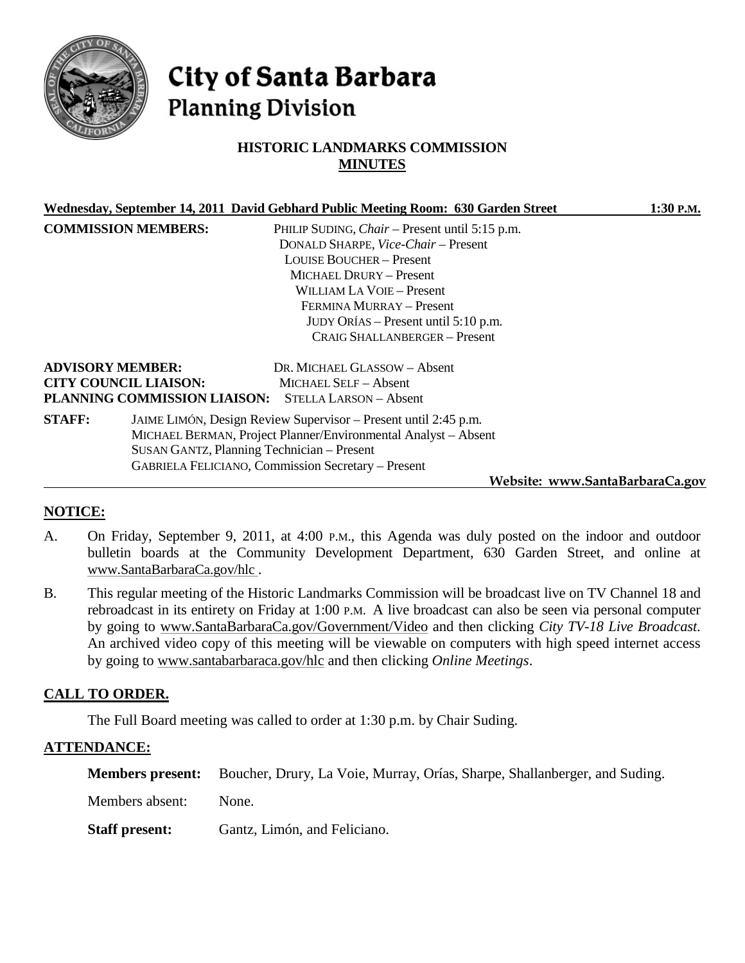

# City of Santa Barbara **Planning Division**

# **HISTORIC LANDMARKS COMMISSION MINUTES**

|               |                                                         | Wednesday, September 14, 2011 David Gebhard Public Meeting Room: 630 Garden Street                                                                                                                                                                                                                         | 1:30 P.M.                       |
|---------------|---------------------------------------------------------|------------------------------------------------------------------------------------------------------------------------------------------------------------------------------------------------------------------------------------------------------------------------------------------------------------|---------------------------------|
|               | <b>COMMISSION MEMBERS:</b>                              | PHILIP SUDING, <i>Chair</i> – Present until 5:15 p.m.<br>DONALD SHARPE, Vice-Chair - Present<br><b>LOUISE BOUCHER – Present</b><br>MICHAEL DRURY - Present<br><b>WILLIAM LA VOIE – Present</b><br>FERMINA MURRAY - Present<br>JUDY ORÍAS – Present until 5:10 p.m.<br><b>CRAIG SHALLANBERGER - Present</b> |                                 |
|               | <b>ADVISORY MEMBER:</b><br><b>CITY COUNCIL LIAISON:</b> | DR. MICHAEL GLASSOW - Absent<br><b>MICHAEL SELF - Absent</b><br>PLANNING COMMISSION LIAISON: STELLA LARSON - Absent                                                                                                                                                                                        |                                 |
| <b>STAFF:</b> |                                                         | JAIME LIMÓN, Design Review Supervisor – Present until 2:45 p.m.<br>MICHAEL BERMAN, Project Planner/Environmental Analyst - Absent<br>SUSAN GANTZ, Planning Technician - Present<br><b>GABRIELA FELICIANO, Commission Secretary - Present</b>                                                               | Website: www.SantaBarbaraCa.gov |
|               |                                                         |                                                                                                                                                                                                                                                                                                            |                                 |

# **NOTICE:**

- A. On Friday, September 9, 2011, at 4:00 P.M., this Agenda was duly posted on the indoor and outdoor bulletin boards at the Community Development Department, 630 Garden Street, and online at [www.SantaBarbaraCa.gov/hlc](http://www.santabarbaraca.gov/hlc) .
- B. This regular meeting of the Historic Landmarks Commission will be broadcast live on TV Channel 18 and rebroadcast in its entirety on Friday at 1:00 P.M. A live broadcast can also be seen via personal computer by going to [www.SantaBarbaraCa.gov/Government/Video](http://www.santabarbaraca.gov/Government/Video) and then clicking *City TV-18 Live Broadcast*. An archived video copy of this meeting will be viewable on computers with high speed internet access by going to [www.santabarbaraca.gov/hlc](http://www.santabarbaraca.gov/hlc) and then clicking *Online Meetings*.

# **CALL TO ORDER.**

The Full Board meeting was called to order at 1:30 p.m. by Chair Suding.

# **ATTENDANCE:**

|                       | <b>Members present:</b> Boucher, Drury, La Voie, Murray, Orías, Sharpe, Shallanberger, and Suding. |
|-----------------------|----------------------------------------------------------------------------------------------------|
| Members absent:       | None.                                                                                              |
| <b>Staff present:</b> | Gantz, Limón, and Feliciano.                                                                       |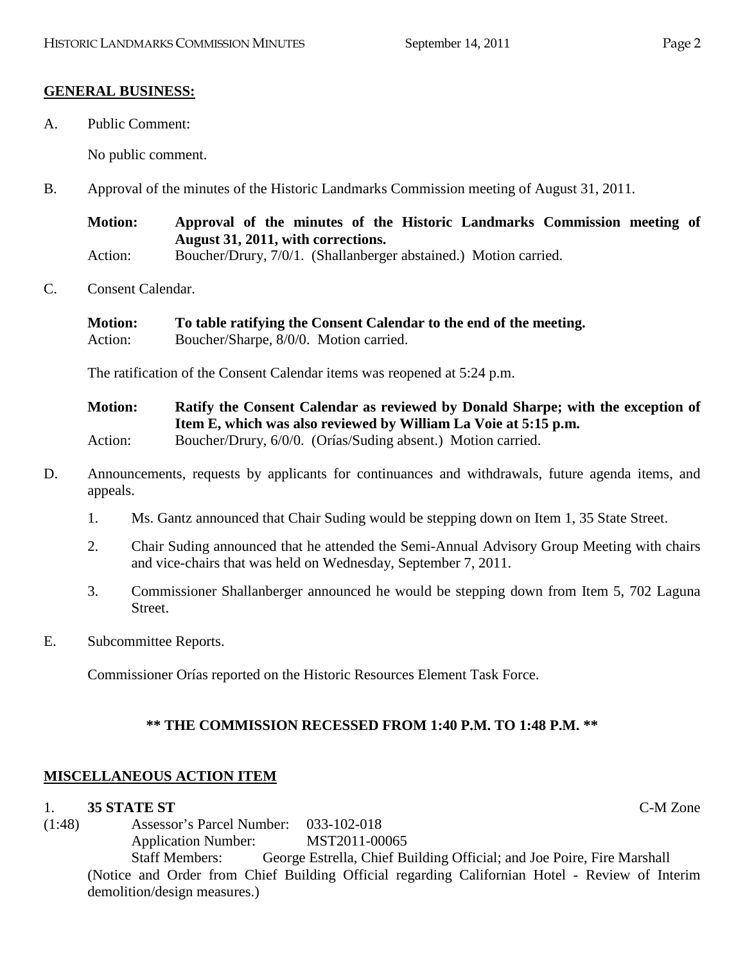## **GENERAL BUSINESS:**

A. Public Comment:

No public comment.

B. Approval of the minutes of the Historic Landmarks Commission meeting of August 31, 2011.

**Motion: Approval of the minutes of the Historic Landmarks Commission meeting of August 31, 2011, with corrections.** Action: Boucher/Drury, 7/0/1. (Shallanberger abstained.) Motion carried.

C. Consent Calendar.

| <b>Motion:</b> | To table ratifying the Consent Calendar to the end of the meeting. |
|----------------|--------------------------------------------------------------------|
| Action:        | Boucher/Sharpe, 8/0/0. Motion carried.                             |

The ratification of the Consent Calendar items was reopened at 5:24 p.m.

**Motion: Ratify the Consent Calendar as reviewed by Donald Sharpe; with the exception of Item E, which was also reviewed by William La Voie at 5:15 p.m.** Action: Boucher/Drury, 6/0/0. (Orías/Suding absent.) Motion carried.

- D. Announcements, requests by applicants for continuances and withdrawals, future agenda items, and appeals.
	- 1. Ms. Gantz announced that Chair Suding would be stepping down on Item 1, 35 State Street.
	- 2. Chair Suding announced that he attended the Semi-Annual Advisory Group Meeting with chairs and vice-chairs that was held on Wednesday, September 7, 2011.
	- 3. Commissioner Shallanberger announced he would be stepping down from Item 5, 702 Laguna Street.
- E. Subcommittee Reports.

Commissioner Orías reported on the Historic Resources Element Task Force.

# **\*\* THE COMMISSION RECESSED FROM 1:40 P.M. TO 1:48 P.M. \*\***

# **MISCELLANEOUS ACTION ITEM**

## 1. **35 STATE ST** C-M Zone

(1:48) Assessor's Parcel Number: 033-102-018 Application Number: MST2011-00065

> Staff Members: George Estrella, Chief Building Official; and Joe Poire, Fire Marshall (Notice and Order from Chief Building Official regarding Californian Hotel - Review of Interim demolition/design measures.)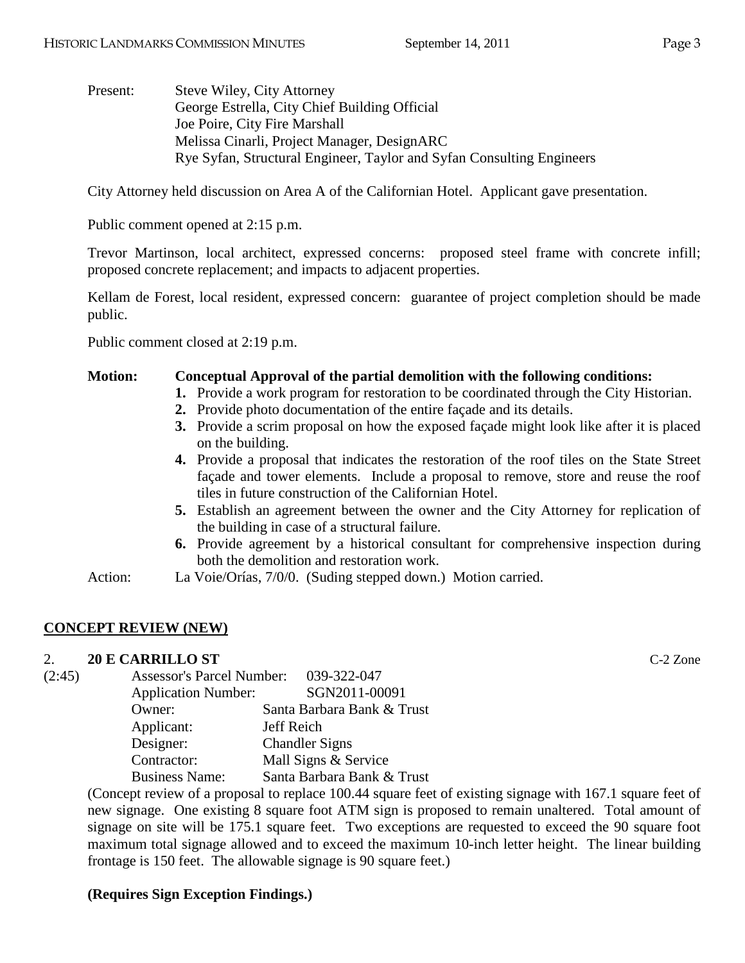Present: Steve Wiley, City Attorney George Estrella, City Chief Building Official Joe Poire, City Fire Marshall Melissa Cinarli, Project Manager, DesignARC Rye Syfan, Structural Engineer, Taylor and Syfan Consulting Engineers

City Attorney held discussion on Area A of the Californian Hotel. Applicant gave presentation.

Public comment opened at 2:15 p.m.

Trevor Martinson, local architect, expressed concerns: proposed steel frame with concrete infill; proposed concrete replacement; and impacts to adjacent properties.

Kellam de Forest, local resident, expressed concern: guarantee of project completion should be made public.

Public comment closed at 2:19 p.m.

## **Motion: Conceptual Approval of the partial demolition with the following conditions:**

- **1.** Provide a work program for restoration to be coordinated through the City Historian.
- **2.** Provide photo documentation of the entire façade and its details.
- **3.** Provide a scrim proposal on how the exposed façade might look like after it is placed on the building.
- **4.** Provide a proposal that indicates the restoration of the roof tiles on the State Street façade and tower elements. Include a proposal to remove, store and reuse the roof tiles in future construction of the Californian Hotel.
- **5.** Establish an agreement between the owner and the City Attorney for replication of the building in case of a structural failure.
- **6.** Provide agreement by a historical consultant for comprehensive inspection during both the demolition and restoration work.
- Action: La Voie/Orías, 7/0/0. (Suding stepped down.) Motion carried.

# **CONCEPT REVIEW (NEW)**

# 2. **20 E CARRILLO ST** C-2 Zone

| (2:45) | <b>Assessor's Parcel Number:</b> | 039-322-047                |  |
|--------|----------------------------------|----------------------------|--|
|        | <b>Application Number:</b>       | SGN2011-00091              |  |
|        | Owner:                           | Santa Barbara Bank & Trust |  |
|        | Applicant:                       | Jeff Reich                 |  |
|        | Designer:                        | <b>Chandler Signs</b>      |  |
|        | Contractor:                      | Mall Signs & Service       |  |
|        | <b>Business Name:</b>            | Santa Barbara Bank & Trust |  |

(Concept review of a proposal to replace 100.44 square feet of existing signage with 167.1 square feet of new signage. One existing 8 square foot ATM sign is proposed to remain unaltered. Total amount of signage on site will be 175.1 square feet. Two exceptions are requested to exceed the 90 square foot maximum total signage allowed and to exceed the maximum 10-inch letter height. The linear building frontage is 150 feet. The allowable signage is 90 square feet.)

# **(Requires Sign Exception Findings.)**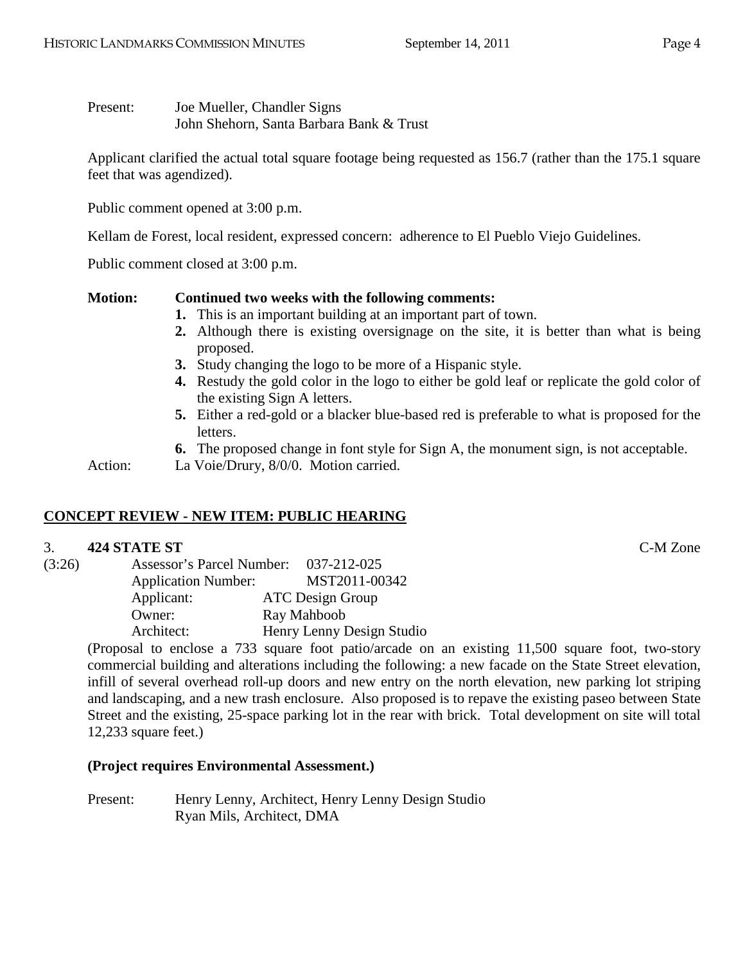Present: Joe Mueller, Chandler Signs John Shehorn, Santa Barbara Bank & Trust

Applicant clarified the actual total square footage being requested as 156.7 (rather than the 175.1 square feet that was agendized).

Public comment opened at 3:00 p.m.

Kellam de Forest, local resident, expressed concern: adherence to El Pueblo Viejo Guidelines.

Public comment closed at 3:00 p.m.

**Motion: Continued two weeks with the following comments:**

- **1.** This is an important building at an important part of town.
- **2.** Although there is existing oversignage on the site, it is better than what is being proposed.
- **3.** Study changing the logo to be more of a Hispanic style.
- **4.** Restudy the gold color in the logo to either be gold leaf or replicate the gold color of the existing Sign A letters.
- **5.** Either a red-gold or a blacker blue-based red is preferable to what is proposed for the letters.
- **6.** The proposed change in font style for Sign A, the monument sign, is not acceptable.

Action: La Voie/Drury, 8/0/0. Motion carried.

# **CONCEPT REVIEW - NEW ITEM: PUBLIC HEARING**

# 3. **424 STATE ST** C-M Zone

| (3:26) | Assessor's Parcel Number:  |  | 037-212-025               |
|--------|----------------------------|--|---------------------------|
|        | <b>Application Number:</b> |  | MST2011-00342             |
|        | Applicant:                 |  | <b>ATC</b> Design Group   |
|        | Owner:                     |  | Ray Mahboob               |
|        | Architect:                 |  | Henry Lenny Design Studio |

(Proposal to enclose a 733 square foot patio/arcade on an existing 11,500 square foot, two-story commercial building and alterations including the following: a new facade on the State Street elevation, infill of several overhead roll-up doors and new entry on the north elevation, new parking lot striping and landscaping, and a new trash enclosure. Also proposed is to repave the existing paseo between State Street and the existing, 25-space parking lot in the rear with brick. Total development on site will total 12,233 square feet.)

## **(Project requires Environmental Assessment.)**

Present: Henry Lenny, Architect, Henry Lenny Design Studio Ryan Mils, Architect, DMA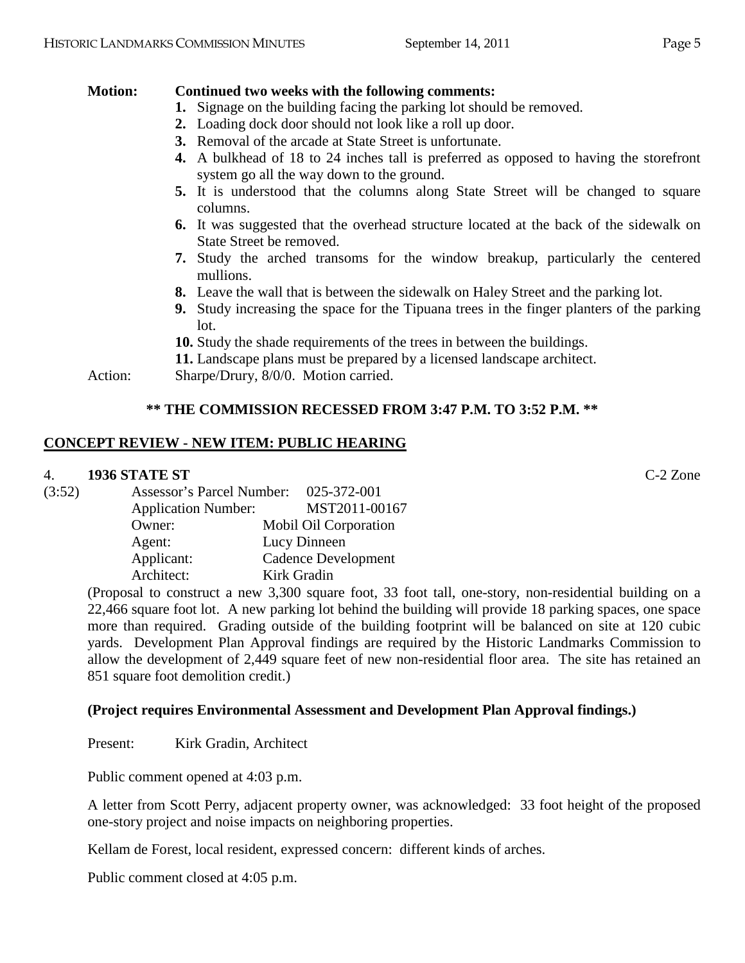## **Motion: Continued two weeks with the following comments:**

- **1.** Signage on the building facing the parking lot should be removed.
- **2.** Loading dock door should not look like a roll up door.
- **3.** Removal of the arcade at State Street is unfortunate.
- **4.** A bulkhead of 18 to 24 inches tall is preferred as opposed to having the storefront system go all the way down to the ground.
- **5.** It is understood that the columns along State Street will be changed to square columns.
- **6.** It was suggested that the overhead structure located at the back of the sidewalk on State Street be removed.
- **7.** Study the arched transoms for the window breakup, particularly the centered mullions.
- **8.** Leave the wall that is between the sidewalk on Haley Street and the parking lot.
- **9.** Study increasing the space for the Tipuana trees in the finger planters of the parking lot.
- **10.** Study the shade requirements of the trees in between the buildings.
- **11.** Landscape plans must be prepared by a licensed landscape architect.

Action: Sharpe/Drury,  $8/0/0$ . Motion carried.

# **\*\* THE COMMISSION RECESSED FROM 3:47 P.M. TO 3:52 P.M. \*\***

# **CONCEPT REVIEW - NEW ITEM: PUBLIC HEARING**

## 4. **1936 STATE ST** C-2 Zone

| (3:52) | Assessor's Parcel Number:  | 025-372-001                |
|--------|----------------------------|----------------------------|
|        | <b>Application Number:</b> | MST2011-00167              |
|        | Owner:                     | Mobil Oil Corporation      |
|        | Agent:                     | Lucy Dinneen               |
|        | Applicant:                 | <b>Cadence Development</b> |
|        | Architect:                 | Kirk Gradin                |

(Proposal to construct a new 3,300 square foot, 33 foot tall, one-story, non-residential building on a 22,466 square foot lot. A new parking lot behind the building will provide 18 parking spaces, one space more than required. Grading outside of the building footprint will be balanced on site at 120 cubic yards. Development Plan Approval findings are required by the Historic Landmarks Commission to allow the development of 2,449 square feet of new non-residential floor area. The site has retained an 851 square foot demolition credit.)

# **(Project requires Environmental Assessment and Development Plan Approval findings.)**

Present: Kirk Gradin, Architect

Public comment opened at 4:03 p.m.

A letter from Scott Perry, adjacent property owner, was acknowledged: 33 foot height of the proposed one-story project and noise impacts on neighboring properties.

Kellam de Forest, local resident, expressed concern: different kinds of arches.

Public comment closed at 4:05 p.m.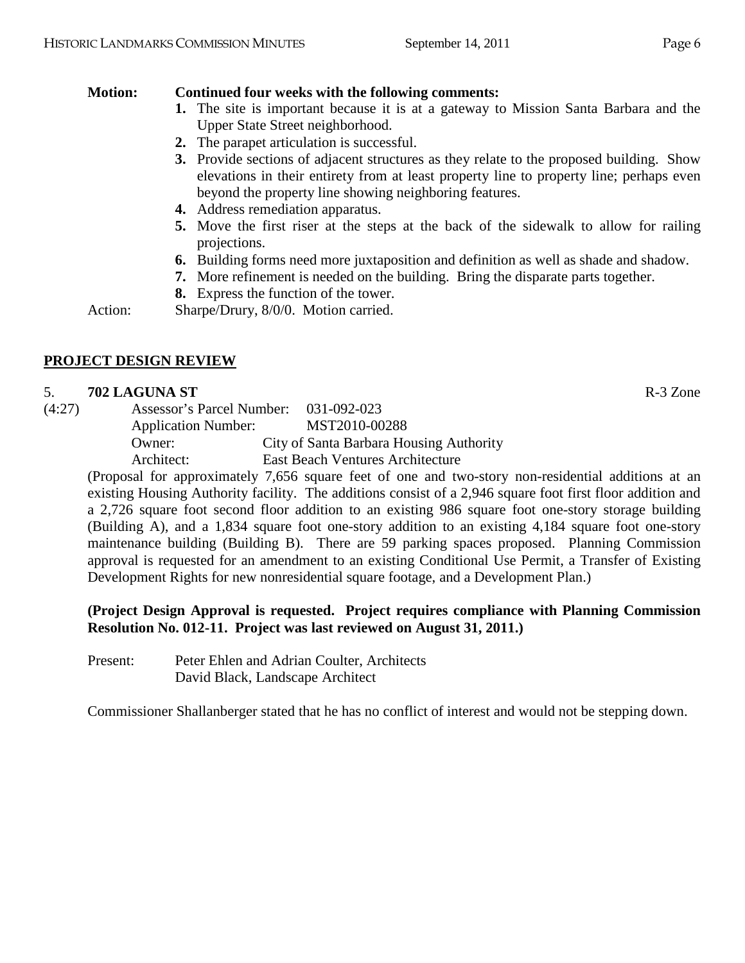# **Motion: Continued four weeks with the following comments:**

- **1.** The site is important because it is at a gateway to Mission Santa Barbara and the Upper State Street neighborhood.
- **2.** The parapet articulation is successful.
- **3.** Provide sections of adjacent structures as they relate to the proposed building. Show elevations in their entirety from at least property line to property line; perhaps even beyond the property line showing neighboring features.
- **4.** Address remediation apparatus.
- **5.** Move the first riser at the steps at the back of the sidewalk to allow for railing projections.
- **6.** Building forms need more juxtaposition and definition as well as shade and shadow.
- **7.** More refinement is needed on the building. Bring the disparate parts together.
- **8.** Express the function of the tower.

Action: Sharpe/Drury, 8/0/0. Motion carried.

# **PROJECT DESIGN REVIEW**

## 5. **702 LAGUNA ST** R-3 Zone

(4:27) Assessor's Parcel Number: 031-092-023 Application Number: MST2010-00288 Owner: City of Santa Barbara Housing Authority Architect: East Beach Ventures Architecture

(Proposal for approximately 7,656 square feet of one and two-story non-residential additions at an existing Housing Authority facility. The additions consist of a 2,946 square foot first floor addition and a 2,726 square foot second floor addition to an existing 986 square foot one-story storage building (Building A), and a 1,834 square foot one-story addition to an existing 4,184 square foot one-story maintenance building (Building B). There are 59 parking spaces proposed. Planning Commission approval is requested for an amendment to an existing Conditional Use Permit, a Transfer of Existing Development Rights for new nonresidential square footage, and a Development Plan.)

# **(Project Design Approval is requested. Project requires compliance with Planning Commission Resolution No. 012-11. Project was last reviewed on August 31, 2011.)**

Present: Peter Ehlen and Adrian Coulter, Architects David Black, Landscape Architect

Commissioner Shallanberger stated that he has no conflict of interest and would not be stepping down.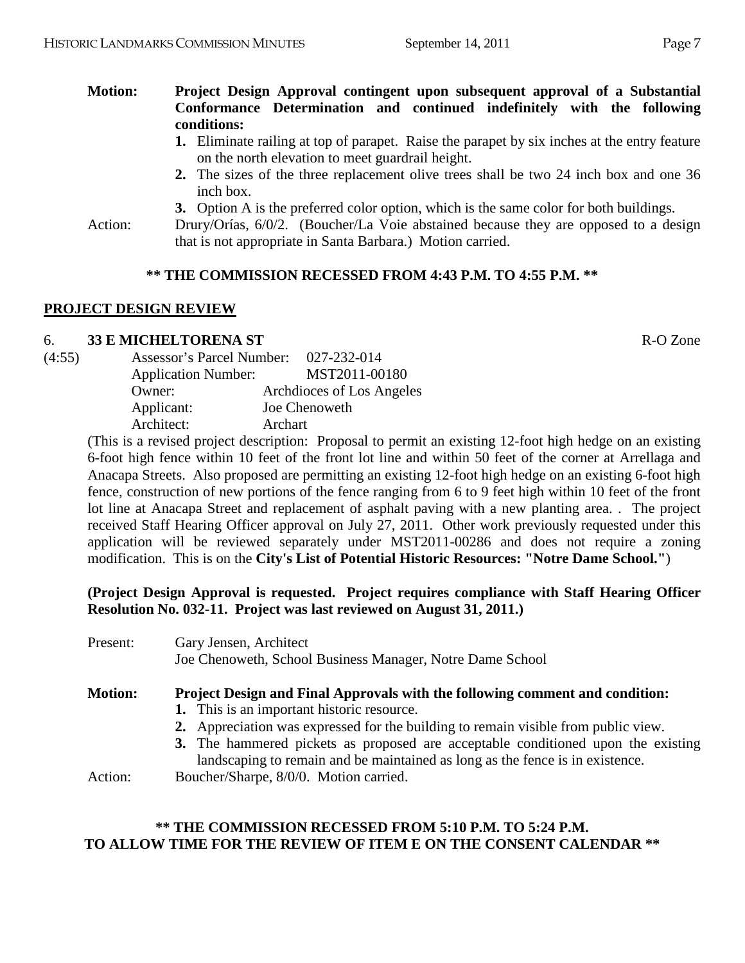## **Motion: Project Design Approval contingent upon subsequent approval of a Substantial Conformance Determination and continued indefinitely with the following conditions:**

- **1.** Eliminate railing at top of parapet. Raise the parapet by six inches at the entry feature on the north elevation to meet guardrail height.
- **2.** The sizes of the three replacement olive trees shall be two 24 inch box and one 36 inch box.
- **3.** Option A is the preferred color option, which is the same color for both buildings.

Action: Drury/Orías, 6/0/2. (Boucher/La Voie abstained because they are opposed to a design that is not appropriate in Santa Barbara.) Motion carried.

#### **\*\* THE COMMISSION RECESSED FROM 4:43 P.M. TO 4:55 P.M. \*\***

#### **PROJECT DESIGN REVIEW**

#### 6. **33 E MICHELTORENA ST** R-O Zone

| <b>Application Number:</b> |               | MST2011-00180                         |
|----------------------------|---------------|---------------------------------------|
| Owner:                     |               | Archdioces of Los Angeles             |
| Applicant:                 | Joe Chenoweth |                                       |
| Architect:                 | Archart       |                                       |
|                            |               | Assessor's Parcel Number: 027-232-014 |

(This is a revised project description: Proposal to permit an existing 12-foot high hedge on an existing 6-foot high fence within 10 feet of the front lot line and within 50 feet of the corner at Arrellaga and Anacapa Streets. Also proposed are permitting an existing 12-foot high hedge on an existing 6-foot high fence, construction of new portions of the fence ranging from 6 to 9 feet high within 10 feet of the front lot line at Anacapa Street and replacement of asphalt paving with a new planting area. . The project received Staff Hearing Officer approval on July 27, 2011. Other work previously requested under this application will be reviewed separately under MST2011-00286 and does not require a zoning modification. This is on the **City's List of Potential Historic Resources: "Notre Dame School."**)

**(Project Design Approval is requested. Project requires compliance with Staff Hearing Officer Resolution No. 032-11. Project was last reviewed on August 31, 2011.)**

| Present:       | Gary Jensen, Architect<br>Joe Chenoweth, School Business Manager, Notre Dame School                                                                               |
|----------------|-------------------------------------------------------------------------------------------------------------------------------------------------------------------|
| <b>Motion:</b> | <b>Project Design and Final Approvals with the following comment and condition:</b><br>1. This is an important historic resource.                                 |
|                | 2. Appreciation was expressed for the building to remain visible from public view.                                                                                |
|                | 3. The hammered pickets as proposed are acceptable conditioned upon the existing<br>landscaping to remain and be maintained as long as the fence is in existence. |
| Action:        | Boucher/Sharpe, 8/0/0. Motion carried.                                                                                                                            |

## **\*\* THE COMMISSION RECESSED FROM 5:10 P.M. TO 5:24 P.M. TO ALLOW TIME FOR THE REVIEW OF ITEM E ON THE CONSENT CALENDAR \*\***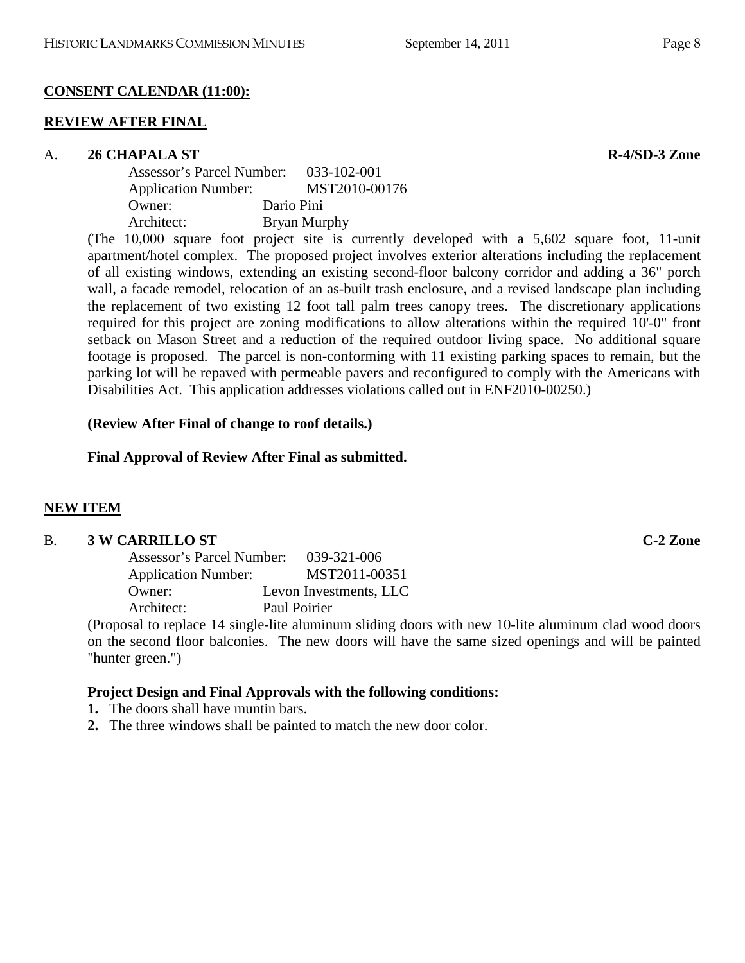# **CONSENT CALENDAR (11:00):**

# **REVIEW AFTER FINAL**

# A. **26 CHAPALA ST R-4/SD-3 Zone**

| Assessor's Parcel Number:  | 033-102-001                                   |
|----------------------------|-----------------------------------------------|
| <b>Application Number:</b> | MST2010-00176                                 |
| Owner:                     | Dario Pini                                    |
| Architect:                 | Bryan Murphy                                  |
|                            | $10,000$ covere feet project site is computed |

(The 10,000 square foot project site is currently developed with a 5,602 square foot, 11-unit apartment/hotel complex. The proposed project involves exterior alterations including the replacement of all existing windows, extending an existing second-floor balcony corridor and adding a 36" porch wall, a facade remodel, relocation of an as-built trash enclosure, and a revised landscape plan including the replacement of two existing 12 foot tall palm trees canopy trees. The discretionary applications required for this project are zoning modifications to allow alterations within the required 10'-0" front setback on Mason Street and a reduction of the required outdoor living space. No additional square footage is proposed. The parcel is non-conforming with 11 existing parking spaces to remain, but the parking lot will be repaved with permeable pavers and reconfigured to comply with the Americans with Disabilities Act. This application addresses violations called out in ENF2010-00250.)

## **(Review After Final of change to roof details.)**

**Final Approval of Review After Final as submitted.**

## **NEW ITEM**

## B. **3 W CARRILLO ST C-2 Zone**

| Assessor's Parcel Number:  | 039-321-006            |
|----------------------------|------------------------|
| <b>Application Number:</b> | MST2011-00351          |
| Owner:                     | Levon Investments, LLC |
| Architect:                 | Paul Poirier           |

(Proposal to replace 14 single-lite aluminum sliding doors with new 10-lite aluminum clad wood doors on the second floor balconies. The new doors will have the same sized openings and will be painted "hunter green.")

## **Project Design and Final Approvals with the following conditions:**

- **1.** The doors shall have muntin bars.
- **2.** The three windows shall be painted to match the new door color.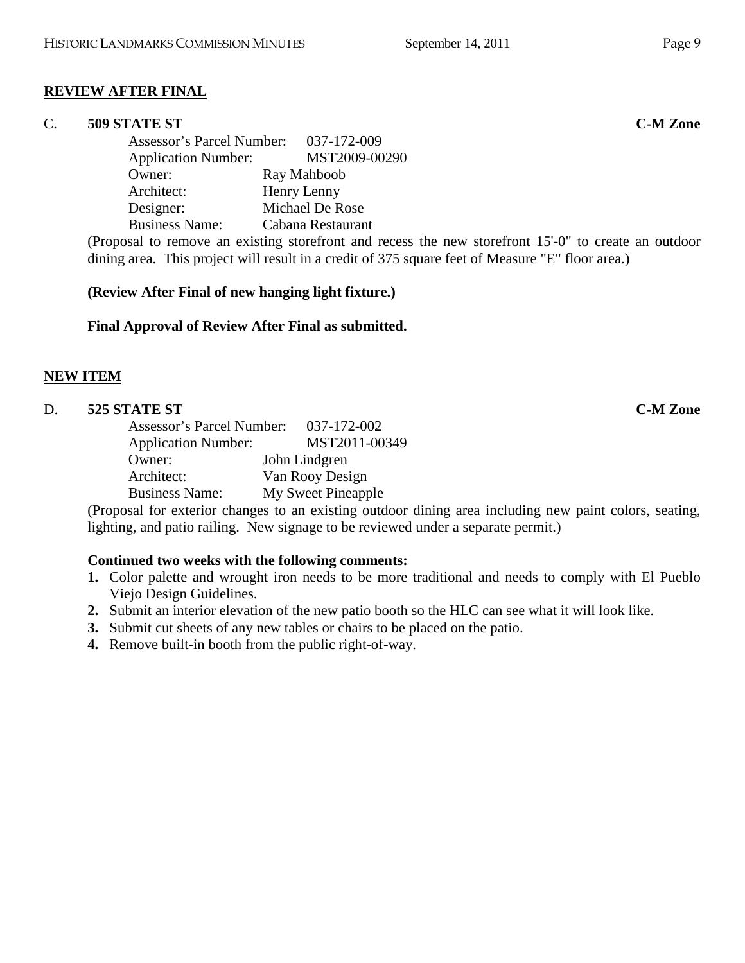# **REVIEW AFTER FINAL**

## C. **509 STATE ST C-M Zone**

Assessor's Parcel Number: 037-172-009 Application Number: MST2009-00290 Owner: Ray Mahboob Architect: Henry Lenny Designer: Michael De Rose Business Name: Cabana Restaurant

(Proposal to remove an existing storefront and recess the new storefront 15'-0" to create an outdoor dining area. This project will result in a credit of 375 square feet of Measure "E" floor area.)

## **(Review After Final of new hanging light fixture.)**

## **Final Approval of Review After Final as submitted.**

## **NEW ITEM**

## D. **525 STATE ST C-M Zone**

| <b>Assessor's Parcel Number:</b> | 037-172-002        |
|----------------------------------|--------------------|
| <b>Application Number:</b>       | MST2011-00349      |
| Owner:                           | John Lindgren      |
| Architect:                       | Van Rooy Design    |
| <b>Business Name:</b>            | My Sweet Pineapple |

(Proposal for exterior changes to an existing outdoor dining area including new paint colors, seating, lighting, and patio railing. New signage to be reviewed under a separate permit.)

## **Continued two weeks with the following comments:**

- **1.** Color palette and wrought iron needs to be more traditional and needs to comply with El Pueblo Viejo Design Guidelines.
- **2.** Submit an interior elevation of the new patio booth so the HLC can see what it will look like.
- **3.** Submit cut sheets of any new tables or chairs to be placed on the patio.
- **4.** Remove built-in booth from the public right-of-way.